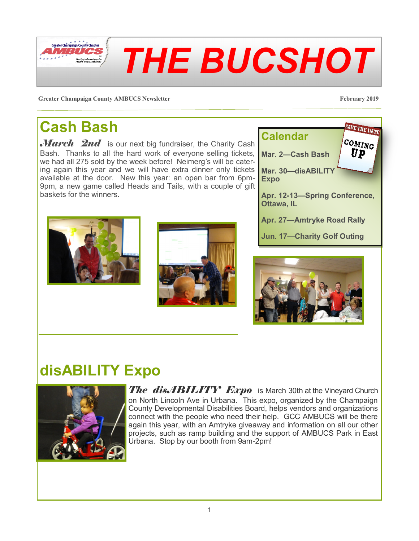**Greater Champaign County AMBUCS Newsletter February 2019**

## **Cash Bash**

Greater Champaign County Chapter  $\cdot$  177 : 1

March 2nd is our next big fundraiser, the Charity Cash Bash. Thanks to all the hard work of everyone selling tickets, we had all 275 sold by the week before! Neimerg's will be catering again this year and we will have extra dinner only tickets available at the door. New this year: an open bar from 6pm-9pm, a new game called Heads and Tails, with a couple of gift baskets for the winners.

# **disABILITY Expo**

on North Lincoln Ave in Urbana. This expo, organized by the Champaign County Developmental Disabilities Board, helps vendors and organizations connect with the people who need their help. GCC AMBUCS will be there again this year, with an Amtryke giveaway and information on all our other projects, such as ramp building and the support of AMBUCS Park in East Urbana. Stop by our booth from 9am-2pm!











*THE BUCSHOT*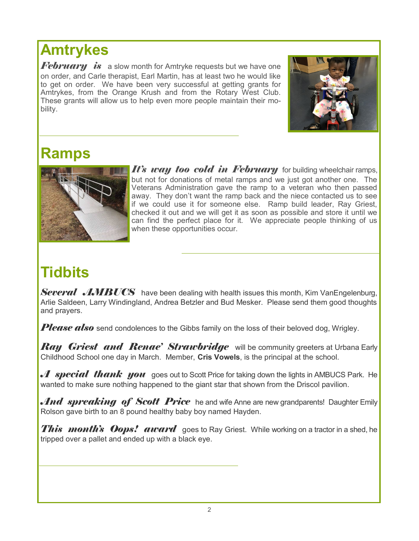### **Amtrykes**

*February is* a slow month for Amtryke requests but we have one on order, and Carle therapist, Earl Martin, has at least two he would like to get on order. We have been very successful at getting grants for Amtrykes, from the Orange Krush and from the Rotary West Club. These grants will allow us to help even more people maintain their mobility.



#### **Ramps**



*It's way too cold in February* for building wheelchair ramps, but not for donations of metal ramps and we just got another one. The Veterans Administration gave the ramp to a veteran who then passed away. They don't want the ramp back and the niece contacted us to see if we could use it for someone else. Ramp build leader, Ray Griest, checked it out and we will get it as soon as possible and store it until we can find the perfect place for it. We appreciate people thinking of us when these opportunities occur.

## **Tidbits**

*Several AMBUCS* have been dealing with health issues this month, Kim VanEngelenburg, Arlie Saldeen, Larry Windingland, Andrea Betzler and Bud Mesker. Please send them good thoughts and prayers.

*Please also* send condolences to the Gibbs family on the loss of their beloved dog, Wrigley.

*Ray Griest and Renae' Strawbridge* will be community greeters at Urbana Early Childhood School one day in March. Member, **Cris Vowels**, is the principal at the school.

*A* special thank you goes out to Scott Price for taking down the lights in AMBUCS Park. He wanted to make sure nothing happened to the giant star that shown from the Driscol pavilion.

*And spreaking of Scott Price* he and wife Anne are new grandparents! Daughter Emily Rolson gave birth to an 8 pound healthy baby boy named Hayden.

*This month's Oops! award* goes to Ray Griest. While working on a tractor in a shed, he tripped over a pallet and ended up with a black eye.